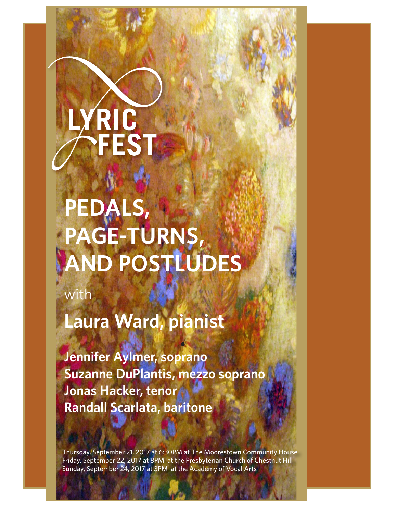# **YRIC<br>PFEST**

# **PEDALS, PAGE-TURNS, AND POSTLUDES**

with

**Laura Ward, pianist**

**Jennifer Aylmer, soprano Suzanne DuPlantis, mezzo soprano Jonas Hacker, tenor Randall Scarlata, baritone**

Thursday, September 21, 2017 at 6:30PM at The Moorestown Community House Friday, September 22, 2017 at 8PM at the Presbyterian Church of Chestnut Hill Sunday, September 24, 2017 at 3PM at the Academy of Vocal Arts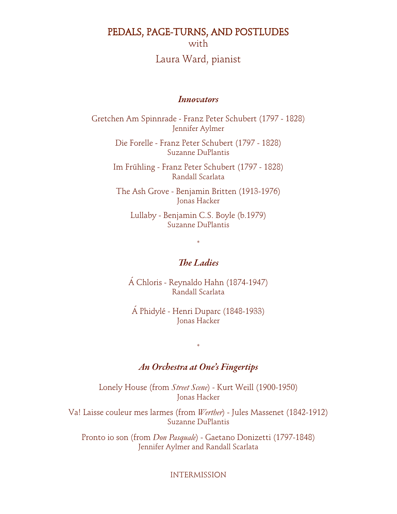PEDALS, PAGE-TURNS, AND POSTLUDES

with

# Laura Ward, pianist

#### Innovators

Gretchen Am Spinnrade - Franz Peter Schubert (1797 - 1828) Jennifer Aylmer

> Die Forelle - Franz Peter Schubert (1797 - 1828) Suzanne DuPlantis

Im Frühling - Franz Peter Schubert (1797 - 1828) Randall Scarlata

The Ash Grove - Benjamin Britten (1913-1976) Jonas Hacker

Lullaby - Benjamin C.S. Boyle (b.1979) Suzanne DuPlantis

\*

#### The Ladies

Á Chloris - Reynaldo Hahn (1874-1947) Randall Scarlata

Á Phidylé - Henri Duparc (1848-1933) Jonas Hacker

#### An Orchestra at One's Fingertips

\*

Lonely House (from *Street Scene*) - Kurt Weill (1900-1950) Jonas Hacker

Va! Laisse couleur mes larmes (from *Werther*) - Jules Massenet (1842-1912) Suzanne DuPlantis

Pronto io son (from *Don Pasquale*) - Gaetano Donizetti (1797-1848) Jennifer Aylmer and Randall Scarlata

INTERMISSION